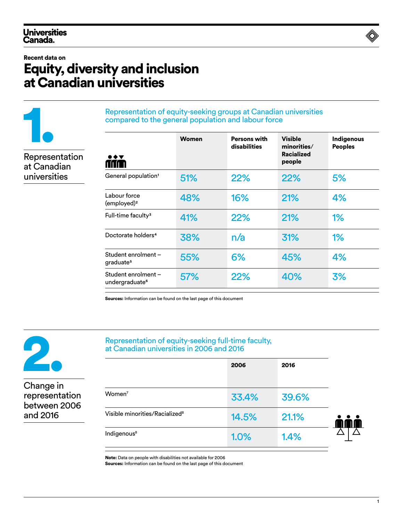#### Recent data on

1.

Representation at Canadian universities

# Equity, diversity and inclusion at Canadian universities

#### Representation of equity-seeking groups at Canadian universities compared to the general population and labour force

| $\bullet \bullet \blacktriangledown$<br>rau      | <b>Women</b> | <b>Persons with</b><br>disabilities | <b>Visible</b><br>minorities/<br><b>Racialized</b><br>people | <b>Indigenous</b><br><b>Peoples</b> |
|--------------------------------------------------|--------------|-------------------------------------|--------------------------------------------------------------|-------------------------------------|
| General population <sup>1</sup>                  | 51%          | 22%                                 | 22%                                                          | 5%                                  |
| Labour force<br>(employed) <sup>2</sup>          | 48%          | 16%                                 | <b>21%</b>                                                   | 4%                                  |
| Full-time faculty <sup>3</sup>                   | 41%          | 22%                                 | 21%                                                          | 1%                                  |
| Doctorate holders <sup>4</sup>                   | 38%          | n/a                                 | 31%                                                          | 1%                                  |
| Student enrolment-<br>graduate <sup>5</sup>      | 55%          | 6%                                  | 45%                                                          | 4%                                  |
| Student enrolment-<br>undergraduate <sup>6</sup> | 57%          | 22%                                 | 40%                                                          | 3%                                  |

Sources: Information can be found on the last page of this document



Change in representation between 2006 and 2016

#### Representation of equity-seeking full-time faculty, at Canadian universities in 2006 and 2016

|                                            | 2006  | 2016  |
|--------------------------------------------|-------|-------|
| Women <sup>7</sup>                         | 33.4% | 39.6% |
| Visible minorities/Racialized <sup>8</sup> | 14.5% | 21.1% |
| Indigenous <sup>8</sup>                    | 1.0%  | 1.4%  |

Note: Data on people with disabilities not available for 2006

Sources: Information can be found on the last page of this document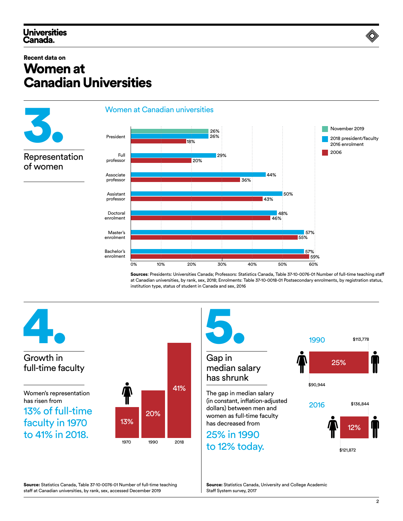### **Universities** Canada.

### Recent data on Women at Canadian Universities



Sources: Presidents: Universities Canada; Professors: Statistics Canada, Table 37-10-0076-01 Number of full-time teaching staff at Canadian universities, by rank, sex, 2018; Enrolments: Table 37-10-0018-01 Postsecondary enrolments, by registration status, institution type, status of student in Canada and sex, 2016



Source: Statistics Canada, Table 37-10-0076-01 Number of full-time teaching staff at Canadian universities, by rank, sex, accessed December 2019

Source: Statistics Canada, University and College Academic Staff System survey, 2017